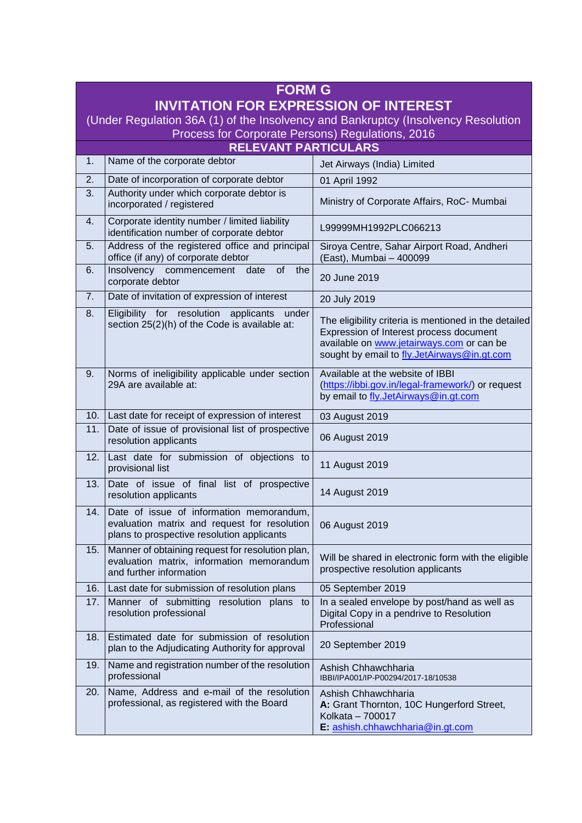| <b>FORM G</b>                                                                     |                                                                                                                                        |                                                                                                                                                                                              |  |
|-----------------------------------------------------------------------------------|----------------------------------------------------------------------------------------------------------------------------------------|----------------------------------------------------------------------------------------------------------------------------------------------------------------------------------------------|--|
| <b>INVITATION FOR EXPRESSION OF INTEREST</b>                                      |                                                                                                                                        |                                                                                                                                                                                              |  |
| (Under Regulation 36A (1) of the Insolvency and Bankruptcy (Insolvency Resolution |                                                                                                                                        |                                                                                                                                                                                              |  |
| Process for Corporate Persons) Regulations, 2016<br><b>RELEVANT PARTICULARS</b>   |                                                                                                                                        |                                                                                                                                                                                              |  |
| 1.                                                                                | Name of the corporate debtor                                                                                                           | Jet Airways (India) Limited                                                                                                                                                                  |  |
| 2.                                                                                | Date of incorporation of corporate debtor                                                                                              | 01 April 1992                                                                                                                                                                                |  |
| 3.                                                                                | Authority under which corporate debtor is<br>incorporated / registered                                                                 | Ministry of Corporate Affairs, RoC- Mumbai                                                                                                                                                   |  |
| 4.                                                                                | Corporate identity number / limited liability<br>identification number of corporate debtor                                             | L99999MH1992PLC066213                                                                                                                                                                        |  |
| 5.                                                                                | Address of the registered office and principal<br>office (if any) of corporate debtor                                                  | Siroya Centre, Sahar Airport Road, Andheri<br>(East), Mumbai - 400099                                                                                                                        |  |
| 6.                                                                                | Insolvency commencement date<br>of<br>the<br>corporate debtor                                                                          | 20 June 2019                                                                                                                                                                                 |  |
| 7.                                                                                | Date of invitation of expression of interest                                                                                           | 20 July 2019                                                                                                                                                                                 |  |
| 8.                                                                                | Eligibility for resolution applicants<br>under<br>section 25(2)(h) of the Code is available at:                                        | The eligibility criteria is mentioned in the detailed<br>Expression of Interest process document<br>available on www.jetairways.com or can be<br>sought by email to fly.JetAirways@in.gt.com |  |
| 9.                                                                                | Norms of ineligibility applicable under section<br>29A are available at:                                                               | Available at the website of IBBI<br>(https://ibbi.gov.in/legal-framework/) or request<br>by email to fly.JetAirways@in.gt.com                                                                |  |
|                                                                                   | 10. Last date for receipt of expression of interest                                                                                    | 03 August 2019                                                                                                                                                                               |  |
| 11.                                                                               | Date of issue of provisional list of prospective<br>resolution applicants                                                              | 06 August 2019                                                                                                                                                                               |  |
| 12.                                                                               | Last date for submission of objections to<br>provisional list                                                                          | 11 August 2019                                                                                                                                                                               |  |
| 13.                                                                               | Date of issue of final list of prospective<br>resolution applicants                                                                    | 14 August 2019                                                                                                                                                                               |  |
| 14.                                                                               | Date of issue of information memorandum,<br>evaluation matrix and request for resolution<br>plans to prospective resolution applicants | 06 August 2019                                                                                                                                                                               |  |
| 15.                                                                               | Manner of obtaining request for resolution plan,<br>evaluation matrix, information memorandum<br>and further information               | Will be shared in electronic form with the eligible<br>prospective resolution applicants                                                                                                     |  |
| 16.                                                                               | Last date for submission of resolution plans                                                                                           | 05 September 2019                                                                                                                                                                            |  |
| 17.                                                                               | Manner of submitting<br>resolution plans<br>to<br>resolution professional                                                              | In a sealed envelope by post/hand as well as<br>Digital Copy in a pendrive to Resolution<br>Professional                                                                                     |  |
| 18.                                                                               | Estimated date for submission of resolution<br>plan to the Adjudicating Authority for approval                                         | 20 September 2019                                                                                                                                                                            |  |
| 19.                                                                               | Name and registration number of the resolution<br>professional                                                                         | Ashish Chhawchharia<br>IBBI/IPA001/IP-P00294/2017-18/10538                                                                                                                                   |  |
| 20.                                                                               | Name, Address and e-mail of the resolution<br>professional, as registered with the Board                                               | Ashish Chhawchharia<br>A: Grant Thornton, 10C Hungerford Street,<br>Kolkata - 700017<br>E: ashish.chhawchharia@in.gt.com                                                                     |  |